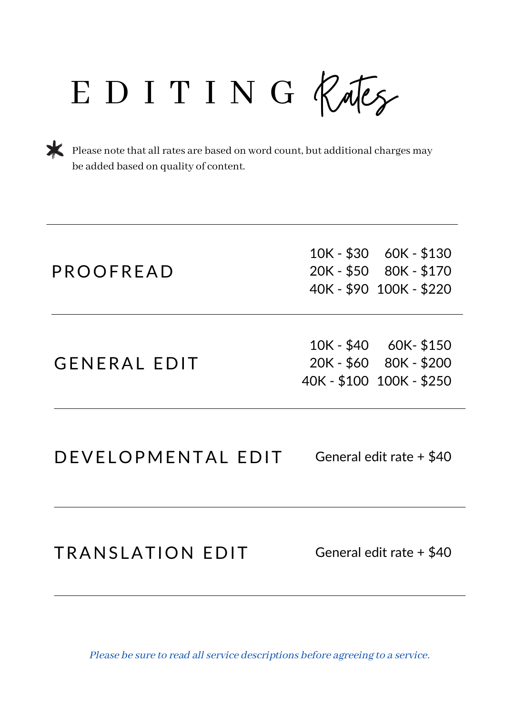EDITING Rates

Please note that all rates are based on word count, but additional charges may be added based on quality of content.

| PROOFREAD           | 10K - \$30 60K - \$130<br>20K - \$50 80K - \$170<br>40K - \$90 100K - \$220  |
|---------------------|------------------------------------------------------------------------------|
| <b>GENERAL EDIT</b> | 10K - \$40 60K - \$150<br>20K - \$60 80K - \$200<br>40K - \$100 100K - \$250 |
| DEVELOPMENTAL EDIT  | General edit rate + \$40                                                     |
|                     |                                                                              |

TRANSLATION EDIT

General edit rate + \$40

Please be sure to read all service descriptions before agreeing to a service.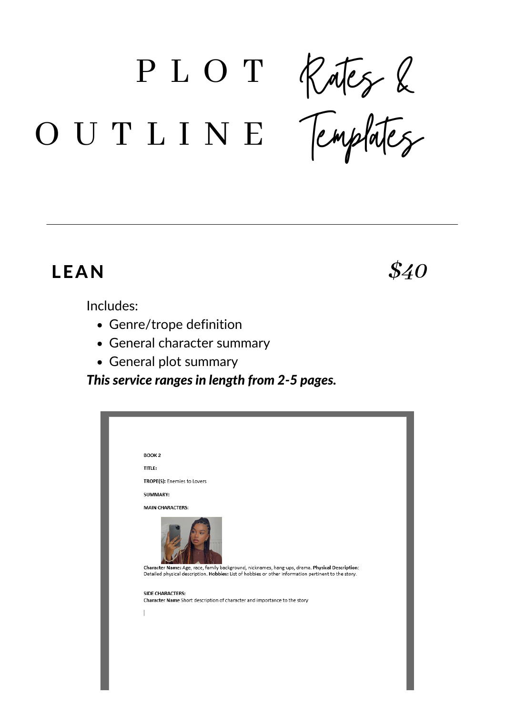P L O T

Rates &

Templates

# O U T L I N E

### LEAN

Includes:

- Genre/trope definition
- General character summary
- General plot summary

*This service ranges in length from 2-5 pages.*

| <b>BOOK 2</b>                                                                                                                                                                                           |
|---------------------------------------------------------------------------------------------------------------------------------------------------------------------------------------------------------|
| <b>TITLE:</b>                                                                                                                                                                                           |
| TROPE(S): Enemies to Lovers                                                                                                                                                                             |
| SUMMARY:                                                                                                                                                                                                |
| <b>MAIN CHARACTERS:</b>                                                                                                                                                                                 |
| Character Name: Age, race, family background, nicknames, hang-ups, drama. Physical Description:<br>Detailed physical description. Hobbies: List of hobbies or other information pertinent to the story. |
| <b>SIDE CHARACTERS:</b><br>Character Name Short description of character and importance to the story                                                                                                    |
|                                                                                                                                                                                                         |
|                                                                                                                                                                                                         |
|                                                                                                                                                                                                         |
|                                                                                                                                                                                                         |
|                                                                                                                                                                                                         |
|                                                                                                                                                                                                         |
|                                                                                                                                                                                                         |

\$40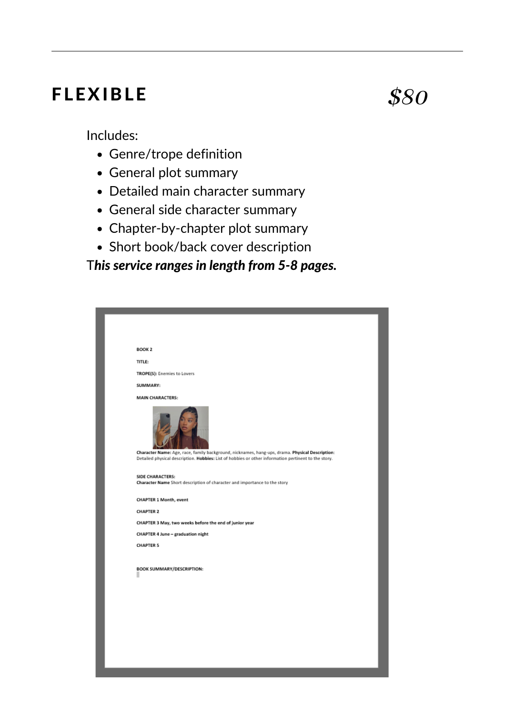### FLEXIBLE

\$80

Includes:

- Genre/trope definition
- General plot summary
- Detailed main character summary
- General side character summary
- Chapter-by-chapter plot summary
- Short book/back cover description

T*his service ranges in length from 5-8 pages.*

| BOOK <sub>2</sub>                                                                                                                                                                                       |  |
|---------------------------------------------------------------------------------------------------------------------------------------------------------------------------------------------------------|--|
| <b>TITLE:</b>                                                                                                                                                                                           |  |
| TROPE(S): Enemies to Lovers                                                                                                                                                                             |  |
| SUMMARY:                                                                                                                                                                                                |  |
| <b>MAIN CHARACTERS:</b>                                                                                                                                                                                 |  |
| Character Name: Age, race, family background, nicknames, hang-ups, drama. Physical Description:<br>Detailed physical description. Hobbies: List of hobbies or other information pertinent to the story. |  |
| SIDE CHARACTERS:<br>Character Name Short description of character and importance to the story                                                                                                           |  |
| CHAPTER 1 Month, event                                                                                                                                                                                  |  |
| <b>CHAPTER 2</b>                                                                                                                                                                                        |  |
| CHAPTER 3 May, two weeks before the end of junior year                                                                                                                                                  |  |
| CHAPTER 4 June - graduation night                                                                                                                                                                       |  |
| <b>CHAPTER 5</b>                                                                                                                                                                                        |  |
| BOOK SUMMARY/DESCRIPTION:                                                                                                                                                                               |  |
|                                                                                                                                                                                                         |  |
|                                                                                                                                                                                                         |  |
|                                                                                                                                                                                                         |  |
|                                                                                                                                                                                                         |  |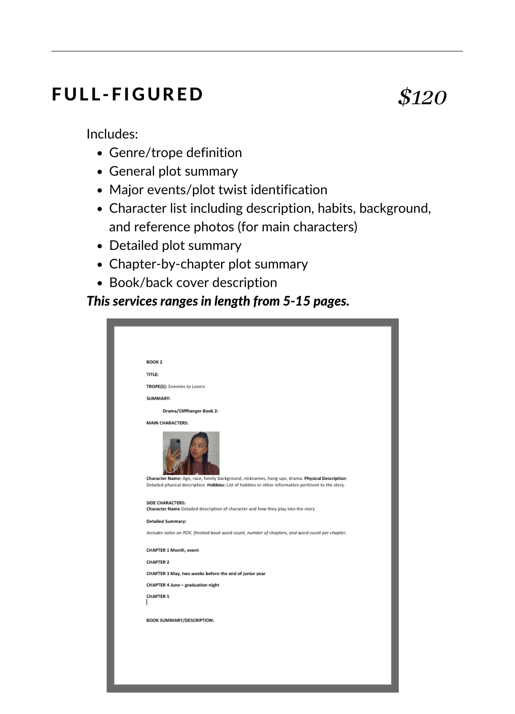#### **FULL-FIGURED**

## \$120

Includes:

- Genre/trope definition
- General plot summary
- Major events/plot twist identification
- Character list including description, habits, background, and reference photos (for main characters)
- Detailed plot summary
- Chapter-by-chapter plot summary
- Book/back cover description

*This services ranges in length from 5-15 pages.*

| <b>BOOK 2</b>                                                                                                                                                                                                                      |
|------------------------------------------------------------------------------------------------------------------------------------------------------------------------------------------------------------------------------------|
| <b>TITLE:</b>                                                                                                                                                                                                                      |
| TROPE(S): Enemies to Lovers                                                                                                                                                                                                        |
| SUMMARY:                                                                                                                                                                                                                           |
| Drama/Cliffhanger Book 2:                                                                                                                                                                                                          |
| <b>MAIN CHARACTERS:</b><br>Character Name: Age, race, family background, nicknames, hang-ups, drama. Physical Description:<br>Detailed physical description. Hobbies: List of hobbies or other information pertinent to the story. |
| SIDE CHARACTERS:<br>Character Name Detailed description of character and how they play into the story                                                                                                                              |
| <b>Detailed Summary:</b>                                                                                                                                                                                                           |
| Includes notes on POV, finished book word count, number of chapters, and word count per chapter.                                                                                                                                   |
| CHAPTER 1 Month, event                                                                                                                                                                                                             |
| <b>CHAPTER 2</b>                                                                                                                                                                                                                   |
| CHAPTER 3 May, two weeks before the end of junior year                                                                                                                                                                             |
| CHAPTER 4 June - graduation night                                                                                                                                                                                                  |
| <b>CHAPTER 5</b>                                                                                                                                                                                                                   |
| BOOK SUMMARY/DESCRIPTION:                                                                                                                                                                                                          |
|                                                                                                                                                                                                                                    |
|                                                                                                                                                                                                                                    |
|                                                                                                                                                                                                                                    |